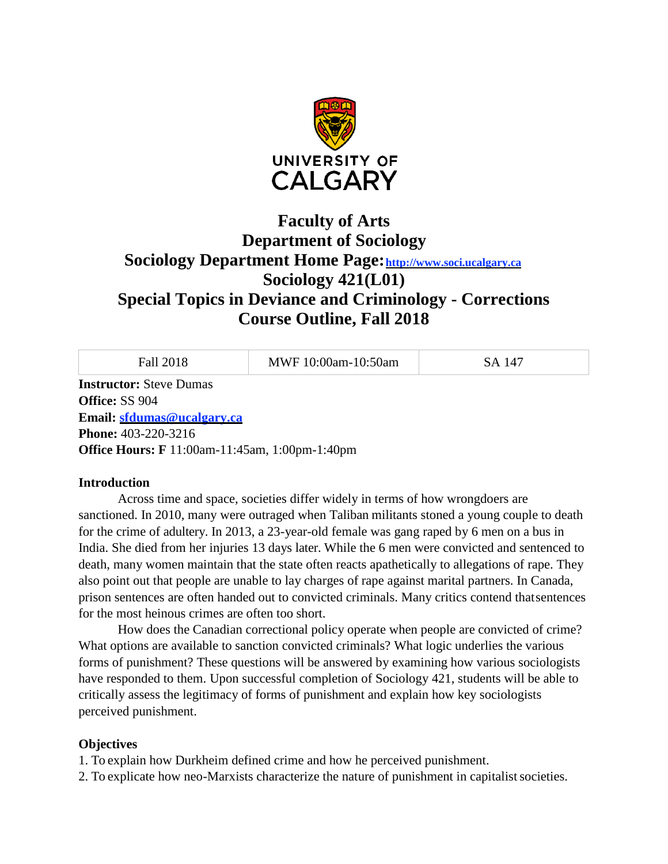

# **Faculty of Arts Department of Sociology Sociology Department Home Page**: http://www.soci.ucalgary.ca **Sociology 421(L01) Special Topics in Deviance and Criminology - Corrections Course Outline, Fall 2018**

| Fall 2018                                             | MWF 10:00am-10:50am | SA 147 |
|-------------------------------------------------------|---------------------|--------|
| <b>Instructor:</b> Steve Dumas                        |                     |        |
| Office: SS 904                                        |                     |        |
| Email: sfdumas@ucalgary.ca                            |                     |        |
| <b>Phone:</b> 403-220-3216                            |                     |        |
| <b>Office Hours: F</b> 11:00am-11:45am, 1:00pm-1:40pm |                     |        |
|                                                       |                     |        |

#### **Introduction**

Across time and space, societies differ widely in terms of how wrongdoers are sanctioned. In 2010, many were outraged when Taliban militants stoned a young couple to death for the crime of adultery. In 2013, a 23-year-old female was gang raped by 6 men on a bus in India. She died from her injuries 13 days later. While the 6 men were convicted and sentenced to death, many women maintain that the state often reacts apathetically to allegations of rape. They also point out that people are unable to lay charges of rape against marital partners. In Canada, prison sentences are often handed out to convicted criminals. Many critics contend thatsentences for the most heinous crimes are often too short.

How does the Canadian correctional policy operate when people are convicted of crime? What options are available to sanction convicted criminals? What logic underlies the various forms of punishment? These questions will be answered by examining how various sociologists have responded to them. Upon successful completion of Sociology 421, students will be able to critically assess the legitimacy of forms of punishment and explain how key sociologists perceived punishment.

#### **Objectives**

1. To explain how Durkheim defined crime and how he perceived punishment.

2. To explicate how neo-Marxists characterize the nature of punishment in capitalist societies.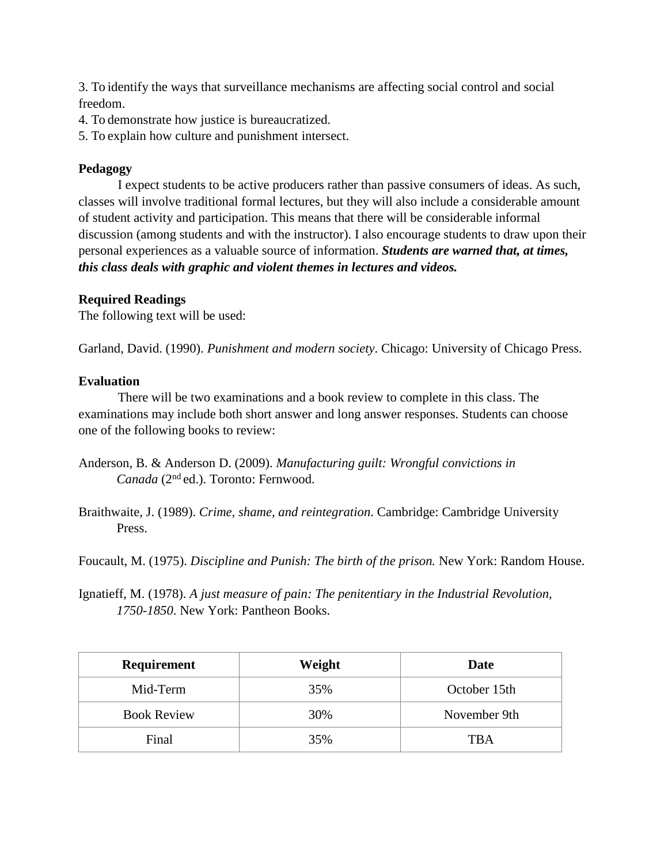3. To identify the ways that surveillance mechanisms are affecting social control and social freedom.

4. To demonstrate how justice is bureaucratized.

5. To explain how culture and punishment intersect.

## **Pedagogy**

I expect students to be active producers rather than passive consumers of ideas. As such, classes will involve traditional formal lectures, but they will also include a considerable amount of student activity and participation. This means that there will be considerable informal discussion (among students and with the instructor). I also encourage students to draw upon their personal experiences as a valuable source of information. *Students are warned that, at times, this class deals with graphic and violent themes in lectures and videos.*

## **Required Readings**

The following text will be used:

Garland, David. (1990). *Punishment and modern society*. Chicago: University of Chicago Press.

#### **Evaluation**

There will be two examinations and a book review to complete in this class. The examinations may include both short answer and long answer responses. Students can choose one of the following books to review:

- Anderson, B. & Anderson D. (2009). *Manufacturing guilt: Wrongful convictions in Canada* (2nd ed.). Toronto: Fernwood.
- Braithwaite, J. (1989). *Crime, shame, and reintegration*. Cambridge: Cambridge University Press.

Foucault, M. (1975). *Discipline and Punish: The birth of the prison.* New York: Random House.

Ignatieff, M. (1978). *A just measure of pain: The penitentiary in the Industrial Revolution, 1750-1850*. New York: Pantheon Books.

| Requirement        | Weight | Date         |
|--------------------|--------|--------------|
| Mid-Term           | 35%    | October 15th |
| <b>Book Review</b> | 30%    | November 9th |
| Final              | 35%    | TBA          |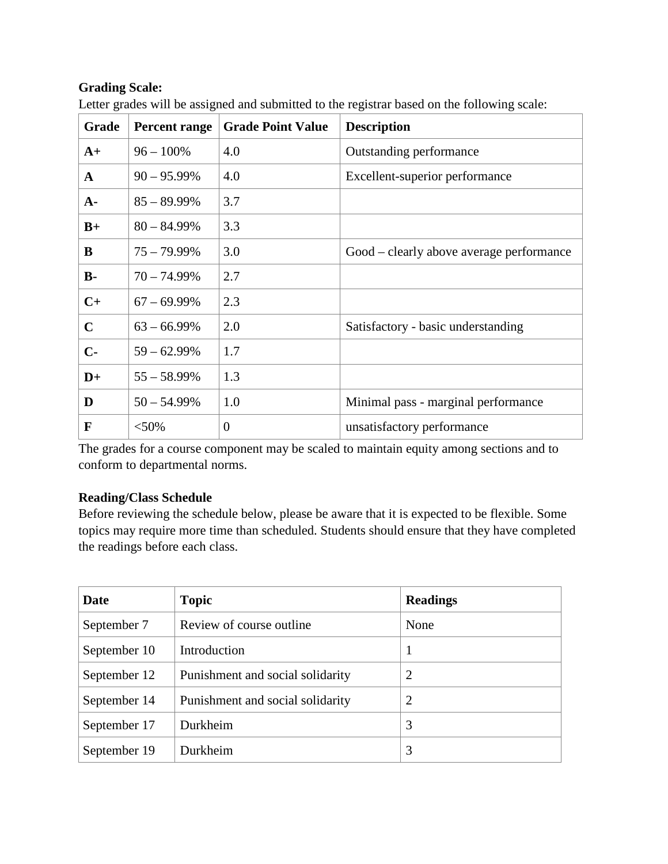# **Grading Scale:**

| Grade       | Percent range  | <b>Grade Point Value</b> | <b>Description</b>                       |
|-------------|----------------|--------------------------|------------------------------------------|
| $A+$        | $96 - 100\%$   | 4.0                      | Outstanding performance                  |
| A           | $90 - 95.99\%$ | 4.0                      | Excellent-superior performance           |
| $A-$        | $85 - 89.99\%$ | 3.7                      |                                          |
| $B+$        | $80 - 84.99\%$ | 3.3                      |                                          |
| B           | $75 - 79.99\%$ | 3.0                      | Good – clearly above average performance |
| $B -$       | $70 - 74.99\%$ | 2.7                      |                                          |
| $C+$        | $67 - 69.99\%$ | 2.3                      |                                          |
| $\mathbf C$ | $63 - 66.99\%$ | 2.0                      | Satisfactory - basic understanding       |
| $C-$        | $59 - 62.99\%$ | 1.7                      |                                          |
| $D+$        | $55 - 58.99\%$ | 1.3                      |                                          |
| D           | $50 - 54.99\%$ | 1.0                      | Minimal pass - marginal performance      |
| F           | $<$ 50%        | $\theta$                 | unsatisfactory performance               |

Letter grades will be assigned and submitted to the registrar based on the following scale:

The grades for a course component may be scaled to maintain equity among sections and to conform to departmental norms.

# **Reading/Class Schedule**

Before reviewing the schedule below, please be aware that it is expected to be flexible. Some topics may require more time than scheduled. Students should ensure that they have completed the readings before each class.

| Date         | <b>Topic</b>                     | <b>Readings</b> |
|--------------|----------------------------------|-----------------|
| September 7  | Review of course outline.        | None            |
| September 10 | Introduction                     |                 |
| September 12 | Punishment and social solidarity | 2               |
| September 14 | Punishment and social solidarity | 2               |
| September 17 | Durkheim                         | 3               |
| September 19 | Durkheim                         | 3               |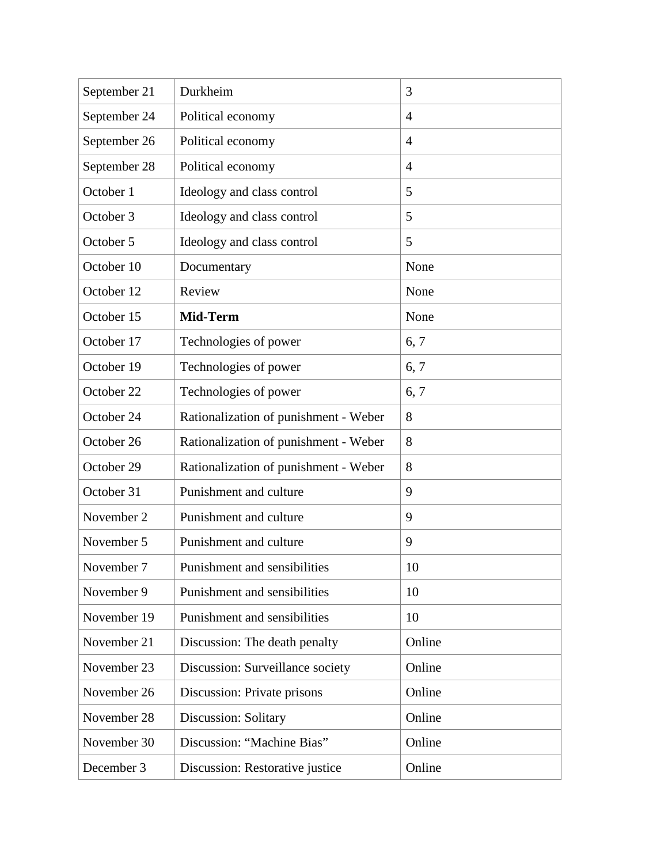| September 21 | Durkheim                              | 3              |
|--------------|---------------------------------------|----------------|
| September 24 | Political economy                     | $\overline{4}$ |
| September 26 | Political economy                     | $\overline{4}$ |
| September 28 | Political economy                     | $\overline{4}$ |
| October 1    | Ideology and class control            | 5              |
| October 3    | Ideology and class control            | 5              |
| October 5    | Ideology and class control            | 5              |
| October 10   | Documentary                           | None           |
| October 12   | Review                                | None           |
| October 15   | Mid-Term                              | None           |
| October 17   | Technologies of power                 | 6, 7           |
| October 19   | Technologies of power                 | 6, 7           |
| October 22   | Technologies of power                 | 6, 7           |
| October 24   | Rationalization of punishment - Weber | 8              |
| October 26   | Rationalization of punishment - Weber | 8              |
| October 29   | Rationalization of punishment - Weber | 8              |
| October 31   | Punishment and culture                | 9              |
| November 2   | Punishment and culture                | 9              |
| November 5   | Punishment and culture                | 9              |
| November 7   | Punishment and sensibilities          | 10             |
| November 9   | Punishment and sensibilities          | 10             |
| November 19  | Punishment and sensibilities          | 10             |
| November 21  | Discussion: The death penalty         | Online         |
| November 23  | Discussion: Surveillance society      | Online         |
| November 26  | Discussion: Private prisons           | Online         |
| November 28  | Discussion: Solitary                  | Online         |
| November 30  | Discussion: "Machine Bias"            | Online         |
| December 3   | Discussion: Restorative justice       | Online         |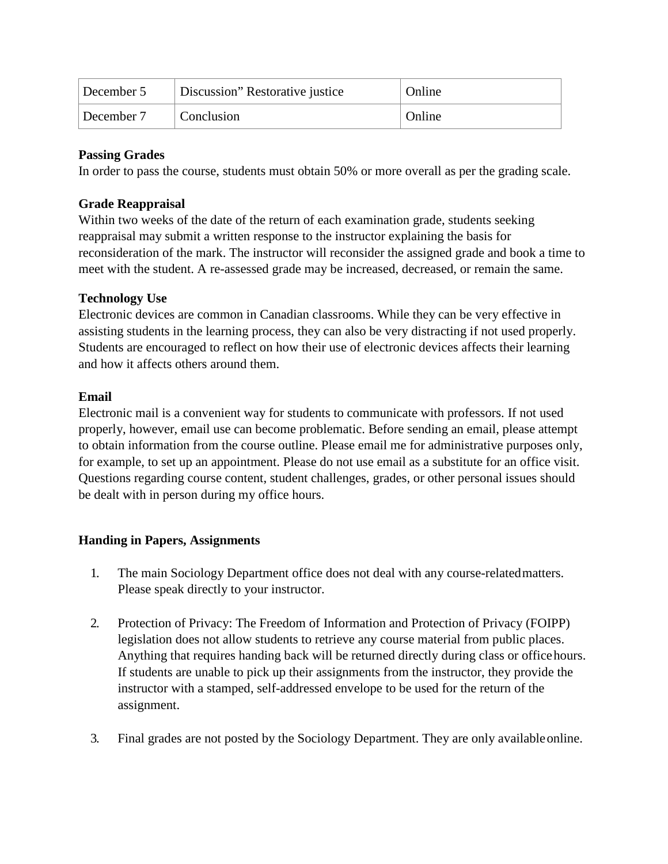| December 5 | Discussion" Restorative justice | Online              |
|------------|---------------------------------|---------------------|
| December 7 | Conclusion                      | <sup>'</sup> Online |

# **Passing Grades**

In order to pass the course, students must obtain 50% or more overall as per the grading scale.

## **Grade Reappraisal**

Within two weeks of the date of the return of each examination grade, students seeking reappraisal may submit a written response to the instructor explaining the basis for reconsideration of the mark. The instructor will reconsider the assigned grade and book a time to meet with the student. A re-assessed grade may be increased, decreased, or remain the same.

# **Technology Use**

Electronic devices are common in Canadian classrooms. While they can be very effective in assisting students in the learning process, they can also be very distracting if not used properly. Students are encouraged to reflect on how their use of electronic devices affects their learning and how it affects others around them.

## **Email**

Electronic mail is a convenient way for students to communicate with professors. If not used properly, however, email use can become problematic. Before sending an email, please attempt to obtain information from the course outline. Please email me for administrative purposes only, for example, to set up an appointment. Please do not use email as a substitute for an office visit. Questions regarding course content, student challenges, grades, or other personal issues should be dealt with in person during my office hours.

# **Handing in Papers, Assignments**

- 1. The main Sociology Department office does not deal with any course-relatedmatters. Please speak directly to your instructor.
- 2. Protection of Privacy: The Freedom of Information and Protection of Privacy (FOIPP) legislation does not allow students to retrieve any course material from public places. Anything that requires handing back will be returned directly during class or officehours. If students are unable to pick up their assignments from the instructor, they provide the instructor with a stamped, self-addressed envelope to be used for the return of the assignment.
- 3. Final grades are not posted by the Sociology Department. They are only availableonline.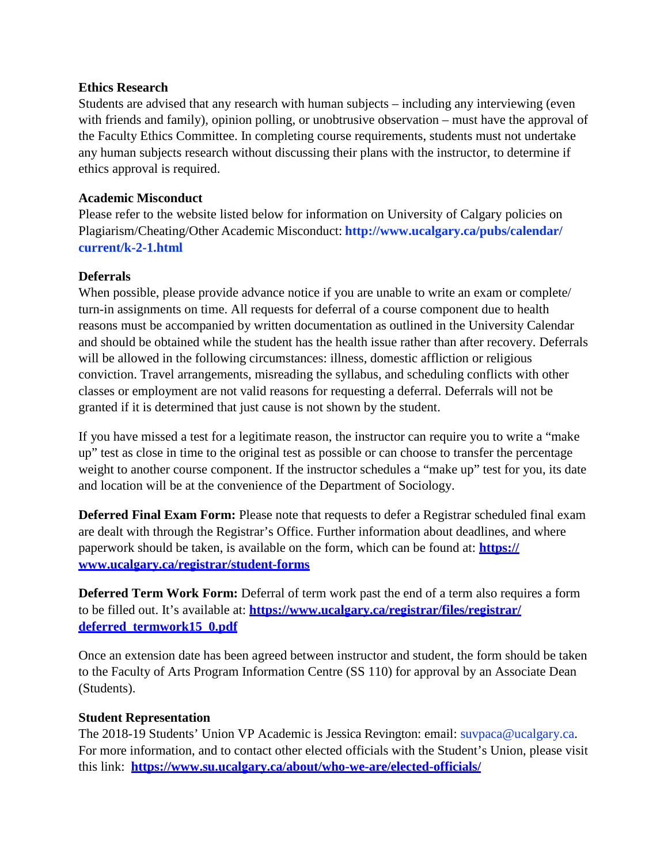## **Ethics Research**

Students are advised that any research with human subjects – including any interviewing (even with friends and family), opinion polling, or unobtrusive observation – must have the approval of the Faculty Ethics Committee. In completing course requirements, students must not undertake any human subjects research without discussing their plans with the instructor, to determine if ethics approval is required.

## **Academic Misconduct**

Please refer to the website listed below for information on University of Calgary policies on Plagiarism/Cheating/Other Academic Misconduct: **<http://www.ucalgary.ca/pubs/calendar/> current/k-2-1.html**

# **Deferrals**

When possible, please provide advance notice if you are unable to write an exam or complete/ turn-in assignments on time. All requests for deferral of a course component due to health reasons must be accompanied by written documentation as outlined in the University Calendar and should be obtained while the student has the health issue rather than after recovery. Deferrals will be allowed in the following circumstances: illness, domestic affliction or religious conviction. Travel arrangements, misreading the syllabus, and scheduling conflicts with other classes or employment are not valid reasons for requesting a deferral. Deferrals will not be granted if it is determined that just cause is not shown by the student.

If you have missed a test for a legitimate reason, the instructor can require you to write a "make up" test as close in time to the original test as possible or can choose to transfer the percentage weight to another course component. If the instructor schedules a "make up" test for you, its date and location will be at the convenience of the Department of Sociology.

**Deferred Final Exam Form:** Please note that requests to defer a Registrar scheduled final exam are dealt with through the Registrar's Office. Further information about deadlines, and where paperwork should be taken, is available on the form, which can be found at: **https:// [www.ucalgary.ca/registrar/student-forms](http://www.ucalgary.ca/registrar/student-forms)**

**Deferred Term Work Form:** Deferral of term work past the end of a term also requires a form to be filled out. It's available at: **https:/[/www.ucalgary.ca/registrar/files/registrar/](http://www.ucalgary.ca/registrar/files/registrar/) deferred\_termwork15\_0.pdf**

Once an extension date has been agreed between instructor and student, the form should be taken to the Faculty of Arts Program Information Centre (SS 110) for approval by an Associate Dean (Students).

#### **Student Representation**

The 2018-19 Students' Union VP Academic is Jessica Revington: email: [suvpaca@ucalgary.ca.](mailto:suvpaca@ucalgary.ca) For more information, and to contact other elected officials with the Student's Union, please visit this link: **https:/[/www.su.ucalgary.ca/about/who-we-are/elected-officials/](http://www.su.ucalgary.ca/about/who-we-are/elected-officials/)**